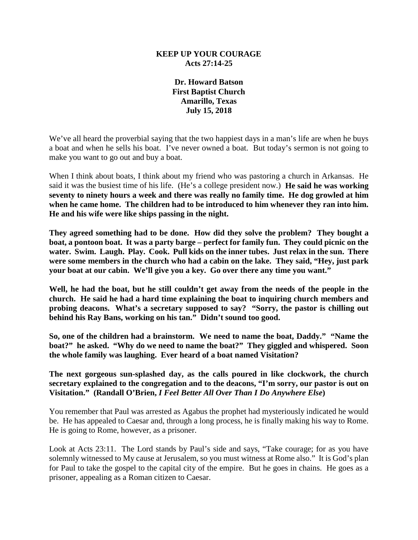## **KEEP UP YOUR COURAGE Acts 27:14-25**

**Dr. Howard Batson First Baptist Church Amarillo, Texas July 15, 2018**

We've all heard the proverbial saying that the two happiest days in a man's life are when he buys a boat and when he sells his boat. I've never owned a boat. But today's sermon is not going to make you want to go out and buy a boat.

When I think about boats, I think about my friend who was pastoring a church in Arkansas. He said it was the busiest time of his life. (He's a college president now.) **He said he was working seventy to ninety hours a week and there was really no family time. He dog growled at him when he came home. The children had to be introduced to him whenever they ran into him. He and his wife were like ships passing in the night.**

**They agreed something had to be done. How did they solve the problem? They bought a boat, a pontoon boat. It was a party barge – perfect for family fun. They could picnic on the water. Swim. Laugh. Play. Cook. Pull kids on the inner tubes. Just relax in the sun. There were some members in the church who had a cabin on the lake. They said, "Hey, just park your boat at our cabin. We'll give you a key. Go over there any time you want."**

Well, he had the boat, but he still couldn't get away from the needs of the people in the **church. He said he had a hard time explaining the boat to inquiring church members and probing deacons. What's a secretary supposed to say? "Sorry, the pastor is chilling out behind his Ray Bans, working on his tan." Didn't sound too good.**

**So, one of the children had a brainstorm. We need to name the boat, Daddy." "Name the boat?" he asked. "Why do we need to name the boat?" They giggled and whispered. Soon the whole family was laughing. Ever heard of a boat named Visitation?**

**The next gorgeous sun-splashed day, as the calls poured in like clockwork, the church secretary explained to the congregation and to the deacons, "I'm sorry, our pastor is out on Visitation." (Randall O'Brien,** *I Feel Better All Over Than I Do Anywhere Else***)**

You remember that Paul was arrested as Agabus the prophet had mysteriously indicated he would be. He has appealed to Caesar and, through a long process, he is finally making his way to Rome. He is going to Rome, however, as a prisoner.

Look at Acts 23:11. The Lord stands by Paul's side and says, "Take courage; for as you have solemnly witnessed to My cause at Jerusalem, so you must witness at Rome also." It is God's plan for Paul to take the gospel to the capital city of the empire. But he goes in chains. He goes as a prisoner, appealing as a Roman citizen to Caesar.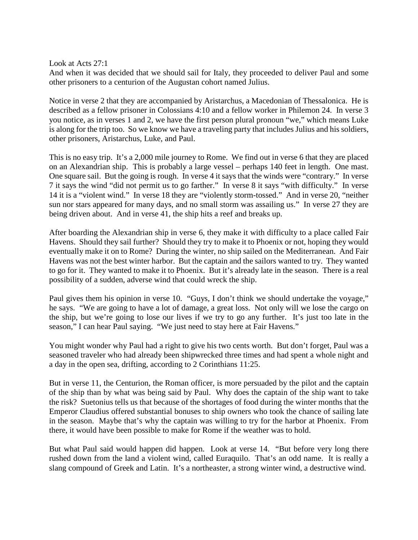Look at Acts 27:1

And when it was decided that we should sail for Italy, they proceeded to deliver Paul and some other prisoners to a centurion of the Augustan cohort named Julius.

Notice in verse 2 that they are accompanied by Aristarchus, a Macedonian of Thessalonica. He is described as a fellow prisoner in Colossians 4:10 and a fellow worker in Philemon 24. In verse 3 you notice, as in verses 1 and 2, we have the first person plural pronoun "we," which means Luke is along for the trip too. So we know we have a traveling party that includes Julius and his soldiers, other prisoners, Aristarchus, Luke, and Paul.

This is no easy trip. It's a 2,000 mile journey to Rome. We find out in verse 6 that they are placed on an Alexandrian ship. This is probably a large vessel – perhaps 140 feet in length. One mast. One square sail. But the going is rough. In verse 4 it says that the winds were "contrary." In verse 7 it says the wind "did not permit us to go farther." In verse 8 it says "with difficulty." In verse 14 it is a "violent wind." In verse 18 they are "violently storm-tossed." And in verse 20, "neither sun nor stars appeared for many days, and no small storm was assailing us." In verse 27 they are being driven about. And in verse 41, the ship hits a reef and breaks up.

After boarding the Alexandrian ship in verse 6, they make it with difficulty to a place called Fair Havens. Should they sail further? Should they try to make it to Phoenix or not, hoping they would eventually make it on to Rome? During the winter, no ship sailed on the Mediterranean. And Fair Havens was not the best winter harbor. But the captain and the sailors wanted to try. They wanted to go for it. They wanted to make it to Phoenix. But it's already late in the season. There is a real possibility of a sudden, adverse wind that could wreck the ship.

Paul gives them his opinion in verse 10. "Guys, I don't think we should undertake the voyage," he says. "We are going to have a lot of damage, a great loss. Not only will we lose the cargo on the ship, but we're going to lose our lives if we try to go any further. It's just too late in the season," I can hear Paul saying. "We just need to stay here at Fair Havens."

You might wonder why Paul had a right to give his two cents worth. But don't forget, Paul was a seasoned traveler who had already been shipwrecked three times and had spent a whole night and a day in the open sea, drifting, according to 2 Corinthians 11:25.

But in verse 11, the Centurion, the Roman officer, is more persuaded by the pilot and the captain of the ship than by what was being said by Paul. Why does the captain of the ship want to take the risk? Suetonius tells us that because of the shortages of food during the winter months that the Emperor Claudius offered substantial bonuses to ship owners who took the chance of sailing late in the season. Maybe that's why the captain was willing to try for the harbor at Phoenix. From there, it would have been possible to make for Rome if the weather was to hold.

But what Paul said would happen did happen. Look at verse 14. "But before very long there rushed down from the land a violent wind, called Euraquilo. That's an odd name. It is really a slang compound of Greek and Latin. It's a northeaster, a strong winter wind, a destructive wind.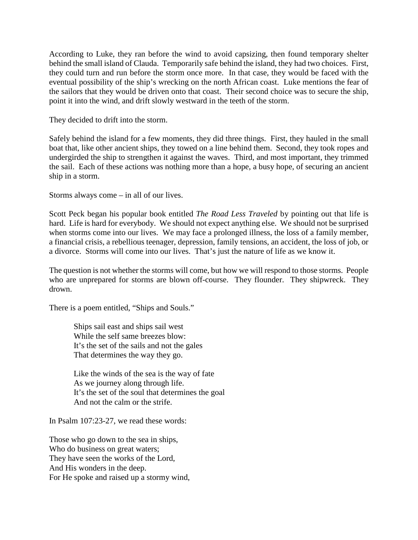According to Luke, they ran before the wind to avoid capsizing, then found temporary shelter behind the small island of Clauda. Temporarily safe behind the island, they had two choices. First, they could turn and run before the storm once more. In that case, they would be faced with the eventual possibility of the ship's wrecking on the north African coast. Luke mentions the fear of the sailors that they would be driven onto that coast. Their second choice was to secure the ship, point it into the wind, and drift slowly westward in the teeth of the storm.

They decided to drift into the storm.

Safely behind the island for a few moments, they did three things. First, they hauled in the small boat that, like other ancient ships, they towed on a line behind them. Second, they took ropes and undergirded the ship to strengthen it against the waves. Third, and most important, they trimmed the sail. Each of these actions was nothing more than a hope, a busy hope, of securing an ancient ship in a storm.

Storms always come – in all of our lives.

Scott Peck began his popular book entitled *The Road Less Traveled* by pointing out that life is hard. Life is hard for everybody. We should not expect anything else. We should not be surprised when storms come into our lives. We may face a prolonged illness, the loss of a family member, a financial crisis, a rebellious teenager, depression, family tensions, an accident, the loss of job, or a divorce. Storms will come into our lives. That's just the nature of life as we know it.

The question is not whether the storms will come, but how we will respond to those storms. People who are unprepared for storms are blown off-course. They flounder. They shipwreck. They drown.

There is a poem entitled, "Ships and Souls."

Ships sail east and ships sail west While the self same breezes blow: It's the set of the sails and not the gales That determines the way they go.

Like the winds of the sea is the way of fate As we journey along through life. It's the set of the soul that determines the goal And not the calm or the strife.

In Psalm 107:23-27, we read these words:

Those who go down to the sea in ships, Who do business on great waters; They have seen the works of the Lord, And His wonders in the deep. For He spoke and raised up a stormy wind,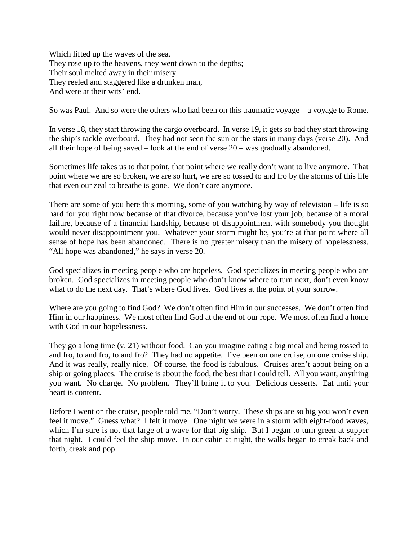Which lifted up the waves of the sea. They rose up to the heavens, they went down to the depths; Their soul melted away in their misery. They reeled and staggered like a drunken man, And were at their wits' end.

So was Paul. And so were the others who had been on this traumatic voyage – a voyage to Rome.

In verse 18, they start throwing the cargo overboard. In verse 19, it gets so bad they start throwing the ship's tackle overboard. They had not seen the sun or the stars in many days (verse 20). And all their hope of being saved – look at the end of verse 20 – was gradually abandoned.

Sometimes life takes us to that point, that point where we really don't want to live anymore. That point where we are so broken, we are so hurt, we are so tossed to and fro by the storms of this life that even our zeal to breathe is gone. We don't care anymore.

There are some of you here this morning, some of you watching by way of television – life is so hard for you right now because of that divorce, because you've lost your job, because of a moral failure, because of a financial hardship, because of disappointment with somebody you thought would never disappointment you. Whatever your storm might be, you're at that point where all sense of hope has been abandoned. There is no greater misery than the misery of hopelessness. "All hope was abandoned," he says in verse 20.

God specializes in meeting people who are hopeless. God specializes in meeting people who are broken. God specializes in meeting people who don't know where to turn next, don't even know what to do the next day. That's where God lives. God lives at the point of your sorrow.

Where are you going to find God? We don't often find Him in our successes. We don't often find Him in our happiness. We most often find God at the end of our rope. We most often find a home with God in our hopelessness.

They go a long time (v. 21) without food. Can you imagine eating a big meal and being tossed to and fro, to and fro, to and fro? They had no appetite. I've been on one cruise, on one cruise ship. And it was really, really nice. Of course, the food is fabulous. Cruises aren't about being on a ship or going places. The cruise is about the food, the best that I could tell. All you want, anything you want. No charge. No problem. They'll bring it to you. Delicious desserts. Eat until your heart is content.

Before I went on the cruise, people told me, "Don't worry. These ships are so big you won't even feel it move." Guess what? I felt it move. One night we were in a storm with eight-food waves, which I'm sure is not that large of a wave for that big ship. But I began to turn green at supper that night. I could feel the ship move. In our cabin at night, the walls began to creak back and forth, creak and pop.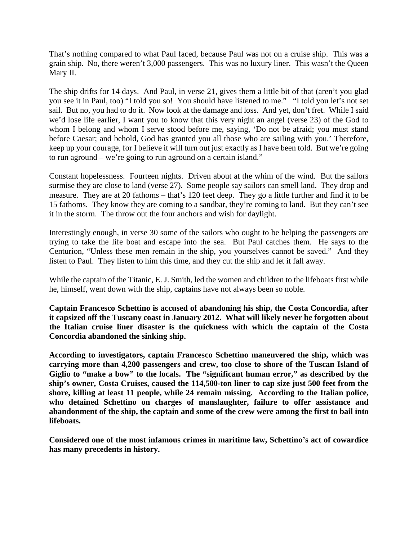That's nothing compared to what Paul faced, because Paul was not on a cruise ship. This was a grain ship. No, there weren't 3,000 passengers. This was no luxury liner. This wasn't the Queen Mary II.

The ship drifts for 14 days. And Paul, in verse 21, gives them a little bit of that (aren't you glad you see it in Paul, too) "I told you so! You should have listened to me." "I told you let's not set sail. But no, you had to do it. Now look at the damage and loss. And yet, don't fret. While I said we'd lose life earlier, I want you to know that this very night an angel (verse 23) of the God to whom I belong and whom I serve stood before me, saying, 'Do not be afraid; you must stand before Caesar; and behold, God has granted you all those who are sailing with you.' Therefore, keep up your courage, for I believe it will turn out just exactly as I have been told. But we're going to run aground – we're going to run aground on a certain island."

Constant hopelessness. Fourteen nights. Driven about at the whim of the wind. But the sailors surmise they are close to land (verse 27). Some people say sailors can smell land. They drop and measure. They are at 20 fathoms – that's 120 feet deep. They go a little further and find it to be 15 fathoms. They know they are coming to a sandbar, they're coming to land. But they can't see it in the storm. The throw out the four anchors and wish for daylight.

Interestingly enough, in verse 30 some of the sailors who ought to be helping the passengers are trying to take the life boat and escape into the sea. But Paul catches them. He says to the Centurion, "Unless these men remain in the ship, you yourselves cannot be saved." And they listen to Paul. They listen to him this time, and they cut the ship and let it fall away.

While the captain of the Titanic, E. J. Smith, led the women and children to the lifeboats first while he, himself, went down with the ship, captains have not always been so noble.

**Captain Francesco Schettino is accused of abandoning his ship, the Costa Concordia, after it capsized off the Tuscany coast in January 2012. What will likely never be forgotten about the Italian cruise liner disaster is the quickness with which the captain of the Costa Concordia abandoned the sinking ship.** 

**According to investigators, captain Francesco Schettino maneuvered the ship, which was carrying more than 4,200 passengers and crew, too close to shore of the Tuscan Island of Giglio to "make a bow" to the locals. The "significant human error," as described by the ship's owner, Costa Cruises, caused the 114,500-ton liner to cap size just 500 feet from the shore, killing at least 11 people, while 24 remain missing. According to the Italian police, who detained Schettino on charges of manslaughter, failure to offer assistance and abandonment of the ship, the captain and some of the crew were among the first to bail into lifeboats.** 

**Considered one of the most infamous crimes in maritime law, Schettino's act of cowardice has many precedents in history.**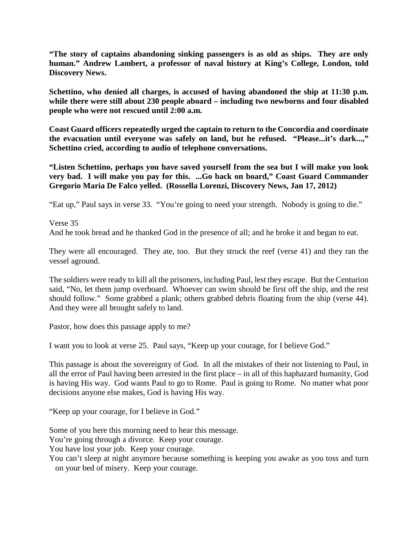**"The story of captains abandoning sinking passengers is as old as ships. They are only human." Andrew Lambert, a professor of naval history at King's College, London, told Discovery News.**

**Schettino, who denied all charges, is accused of having abandoned the ship at 11:30 p.m. while there were still about 230 people aboard – including two newborns and four disabled people who were not rescued until 2:00 a.m.**

**Coast Guard officers repeatedly urged the captain to return to the Concordia and coordinate the evacuation until everyone was safely on land, but he refused. "Please...it's dark...," Schettino cried, according to audio of telephone conversations.**

**"Listen Schettino, perhaps you have saved yourself from the sea but I will make you look very bad. I will make you pay for this. ...Go back on board," Coast Guard Commander Gregorio Maria De Falco yelled. (Rossella Lorenzi, Discovery News, Jan 17, 2012)**

"Eat up," Paul says in verse 33. "You're going to need your strength. Nobody is going to die."

Verse 35 And he took bread and he thanked God in the presence of all; and he broke it and began to eat.

They were all encouraged. They ate, too. But they struck the reef (verse 41) and they ran the vessel aground.

The soldiers were ready to kill all the prisoners, including Paul, lest they escape. But the Centurion said, "No, let them jump overboard. Whoever can swim should be first off the ship, and the rest should follow." Some grabbed a plank; others grabbed debris floating from the ship (verse 44). And they were all brought safely to land.

Pastor, how does this passage apply to me?

I want you to look at verse 25. Paul says, "Keep up your courage, for I believe God."

This passage is about the sovereignty of God. In all the mistakes of their not listening to Paul, in all the error of Paul having been arrested in the first place – in all of this haphazard humanity, God is having His way. God wants Paul to go to Rome. Paul is going to Rome. No matter what poor decisions anyone else makes, God is having His way.

"Keep up your courage, for I believe in God."

Some of you here this morning need to hear this message.

You're going through a divorce. Keep your courage.

You have lost your job. Keep your courage.

You can't sleep at night anymore because something is keeping you awake as you toss and turn on your bed of misery. Keep your courage.